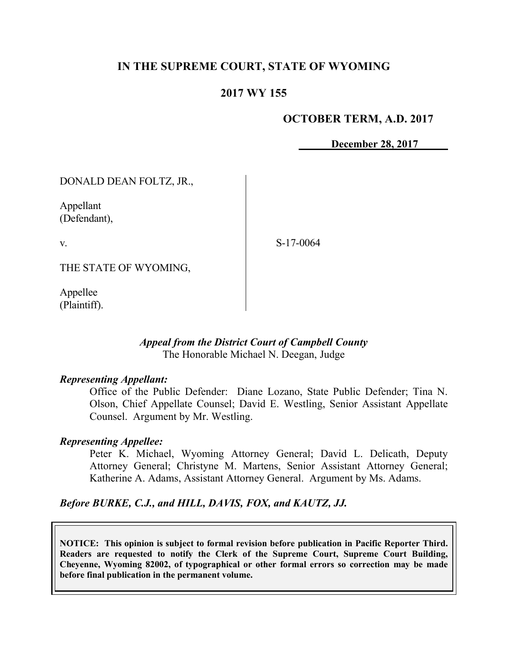# **IN THE SUPREME COURT, STATE OF WYOMING**

## **2017 WY 155**

### **OCTOBER TERM, A.D. 2017**

**December 28, 2017**

DONALD DEAN FOLTZ, JR.,

Appellant (Defendant),

v.

S-17-0064

THE STATE OF WYOMING,

Appellee (Plaintiff).

### *Appeal from the District Court of Campbell County* The Honorable Michael N. Deegan, Judge

#### *Representing Appellant:*

Office of the Public Defender: Diane Lozano, State Public Defender; Tina N. Olson, Chief Appellate Counsel; David E. Westling, Senior Assistant Appellate Counsel. Argument by Mr. Westling.

#### *Representing Appellee:*

Peter K. Michael, Wyoming Attorney General; David L. Delicath, Deputy Attorney General; Christyne M. Martens, Senior Assistant Attorney General; Katherine A. Adams, Assistant Attorney General. Argument by Ms. Adams.

*Before BURKE, C.J., and HILL, DAVIS, FOX, and KAUTZ, JJ.*

**NOTICE: This opinion is subject to formal revision before publication in Pacific Reporter Third. Readers are requested to notify the Clerk of the Supreme Court, Supreme Court Building, Cheyenne, Wyoming 82002, of typographical or other formal errors so correction may be made before final publication in the permanent volume.**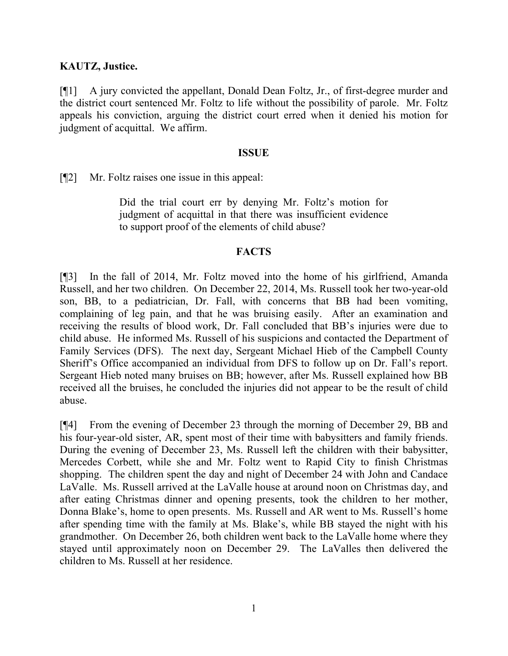### **KAUTZ, Justice.**

[¶1] A jury convicted the appellant, Donald Dean Foltz, Jr., of first-degree murder and the district court sentenced Mr. Foltz to life without the possibility of parole. Mr. Foltz appeals his conviction, arguing the district court erred when it denied his motion for judgment of acquittal. We affirm.

#### **ISSUE**

[¶2] Mr. Foltz raises one issue in this appeal:

Did the trial court err by denying Mr. Foltz's motion for judgment of acquittal in that there was insufficient evidence to support proof of the elements of child abuse?

#### **FACTS**

[¶3] In the fall of 2014, Mr. Foltz moved into the home of his girlfriend, Amanda Russell, and her two children. On December 22, 2014, Ms. Russell took her two-year-old son, BB, to a pediatrician, Dr. Fall, with concerns that BB had been vomiting, complaining of leg pain, and that he was bruising easily. After an examination and receiving the results of blood work, Dr. Fall concluded that BB's injuries were due to child abuse. He informed Ms. Russell of his suspicions and contacted the Department of Family Services (DFS). The next day, Sergeant Michael Hieb of the Campbell County Sheriff's Office accompanied an individual from DFS to follow up on Dr. Fall's report. Sergeant Hieb noted many bruises on BB; however, after Ms. Russell explained how BB received all the bruises, he concluded the injuries did not appear to be the result of child abuse.

[¶4] From the evening of December 23 through the morning of December 29, BB and his four-year-old sister, AR, spent most of their time with babysitters and family friends. During the evening of December 23, Ms. Russell left the children with their babysitter, Mercedes Corbett, while she and Mr. Foltz went to Rapid City to finish Christmas shopping. The children spent the day and night of December 24 with John and Candace LaValle. Ms. Russell arrived at the LaValle house at around noon on Christmas day, and after eating Christmas dinner and opening presents, took the children to her mother, Donna Blake's, home to open presents. Ms. Russell and AR went to Ms. Russell's home after spending time with the family at Ms. Blake's, while BB stayed the night with his grandmother. On December 26, both children went back to the LaValle home where they stayed until approximately noon on December 29. The LaValles then delivered the children to Ms. Russell at her residence.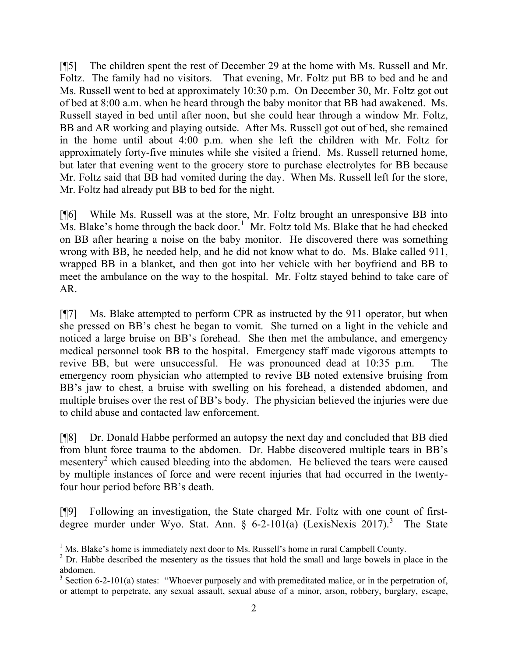[¶5] The children spent the rest of December 29 at the home with Ms. Russell and Mr. Foltz. The family had no visitors. That evening, Mr. Foltz put BB to bed and he and Ms. Russell went to bed at approximately 10:30 p.m. On December 30, Mr. Foltz got out of bed at 8:00 a.m. when he heard through the baby monitor that BB had awakened. Ms. Russell stayed in bed until after noon, but she could hear through a window Mr. Foltz, BB and AR working and playing outside. After Ms. Russell got out of bed, she remained in the home until about 4:00 p.m. when she left the children with Mr. Foltz for approximately forty-five minutes while she visited a friend. Ms. Russell returned home, but later that evening went to the grocery store to purchase electrolytes for BB because Mr. Foltz said that BB had vomited during the day. When Ms. Russell left for the store, Mr. Foltz had already put BB to bed for the night.

[¶6] While Ms. Russell was at the store, Mr. Foltz brought an unresponsive BB into  $\overline{M}$ s. Blake's home through the back door.<sup>1</sup> Mr. Foltz told Ms. Blake that he had checked on BB after hearing a noise on the baby monitor. He discovered there was something wrong with BB, he needed help, and he did not know what to do. Ms. Blake called 911, wrapped BB in a blanket, and then got into her vehicle with her boyfriend and BB to meet the ambulance on the way to the hospital. Mr. Foltz stayed behind to take care of AR.

[¶7] Ms. Blake attempted to perform CPR as instructed by the 911 operator, but when she pressed on BB's chest he began to vomit. She turned on a light in the vehicle and noticed a large bruise on BB's forehead. She then met the ambulance, and emergency medical personnel took BB to the hospital. Emergency staff made vigorous attempts to revive BB, but were unsuccessful. He was pronounced dead at 10:35 p.m. The emergency room physician who attempted to revive BB noted extensive bruising from BB's jaw to chest, a bruise with swelling on his forehead, a distended abdomen, and multiple bruises over the rest of BB's body. The physician believed the injuries were due to child abuse and contacted law enforcement.

[¶8] Dr. Donald Habbe performed an autopsy the next day and concluded that BB died from blunt force trauma to the abdomen. Dr. Habbe discovered multiple tears in BB's mesentery<sup>2</sup> which caused bleeding into the abdomen. He believed the tears were caused by multiple instances of force and were recent injuries that had occurred in the twentyfour hour period before BB's death.

[¶9] Following an investigation, the State charged Mr. Foltz with one count of firstdegree murder under Wyo. Stat. Ann. § 6-2-101(a) (LexisNexis 2017).<sup>3</sup> The State

 $\overline{a}$ 

 $<sup>1</sup>$  Ms. Blake's home is immediately next door to Ms. Russell's home in rural Campbell County.</sup>

<sup>&</sup>lt;sup>2</sup> Dr. Habbe described the mesentery as the tissues that hold the small and large bowels in place in the abdomen.

 $3$  Section 6-2-101(a) states: "Whoever purposely and with premeditated malice, or in the perpetration of, or attempt to perpetrate, any sexual assault, sexual abuse of a minor, arson, robbery, burglary, escape,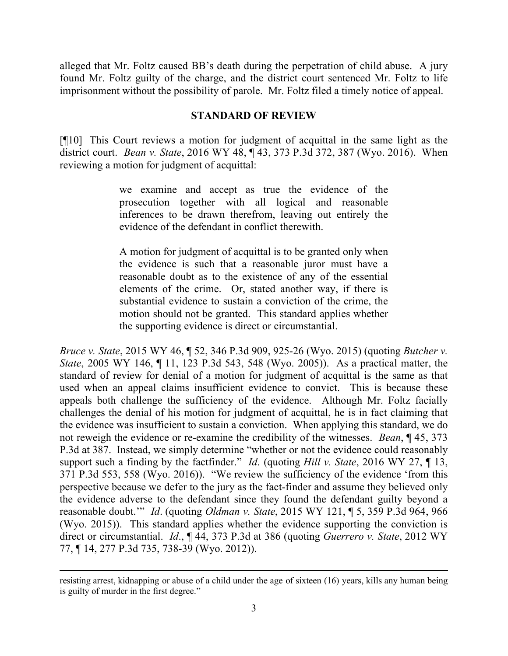alleged that Mr. Foltz caused BB's death during the perpetration of child abuse. A jury found Mr. Foltz guilty of the charge, and the district court sentenced Mr. Foltz to life imprisonment without the possibility of parole. Mr. Foltz filed a timely notice of appeal.

### **STANDARD OF REVIEW**

[¶10] This Court reviews a motion for judgment of acquittal in the same light as the district court. *Bean v. State*, 2016 WY 48, ¶ 43, 373 P.3d 372, 387 (Wyo. 2016). When reviewing a motion for judgment of acquittal:

> we examine and accept as true the evidence of the prosecution together with all logical and reasonable inferences to be drawn therefrom, leaving out entirely the evidence of the defendant in conflict therewith.

> A motion for judgment of acquittal is to be granted only when the evidence is such that a reasonable juror must have a reasonable doubt as to the existence of any of the essential elements of the crime. Or, stated another way, if there is substantial evidence to sustain a conviction of the crime, the motion should not be granted. This standard applies whether the supporting evidence is direct or circumstantial.

*Bruce v. State*, 2015 WY 46, ¶ 52, 346 P.3d 909, 925-26 (Wyo. 2015) (quoting *Butcher v. State*, 2005 WY 146, ¶ 11, 123 P.3d 543, 548 (Wyo. 2005)). As a practical matter, the standard of review for denial of a motion for judgment of acquittal is the same as that used when an appeal claims insufficient evidence to convict. This is because these appeals both challenge the sufficiency of the evidence. Although Mr. Foltz facially challenges the denial of his motion for judgment of acquittal, he is in fact claiming that the evidence was insufficient to sustain a conviction. When applying this standard, we do not reweigh the evidence or re-examine the credibility of the witnesses. *Bean*, ¶ 45, 373 P.3d at 387. Instead, we simply determine "whether or not the evidence could reasonably support such a finding by the factfinder." *Id*. (quoting *Hill v. State*, 2016 WY 27, ¶ 13, 371 P.3d 553, 558 (Wyo. 2016)). "We review the sufficiency of the evidence 'from this perspective because we defer to the jury as the fact-finder and assume they believed only the evidence adverse to the defendant since they found the defendant guilty beyond a reasonable doubt.'" *Id*. (quoting *Oldman v. State*, 2015 WY 121, ¶ 5, 359 P.3d 964, 966 (Wyo. 2015)). This standard applies whether the evidence supporting the conviction is direct or circumstantial. *Id*., ¶ 44, 373 P.3d at 386 (quoting *Guerrero v. State*, 2012 WY 77, ¶ 14, 277 P.3d 735, 738-39 (Wyo. 2012)).

resisting arrest, kidnapping or abuse of a child under the age of sixteen (16) years, kills any human being is guilty of murder in the first degree."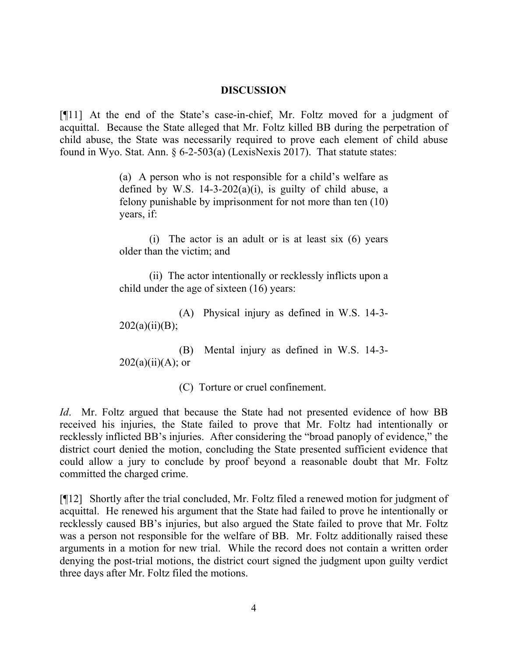#### **DISCUSSION**

[¶11] At the end of the State's case-in-chief, Mr. Foltz moved for a judgment of acquittal. Because the State alleged that Mr. Foltz killed BB during the perpetration of child abuse, the State was necessarily required to prove each element of child abuse found in Wyo. Stat. Ann. § 6-2-503(a) (LexisNexis 2017). That statute states:

> (a) A person who is not responsible for a child's welfare as defined by W.S.  $14-3-202(a)(i)$ , is guilty of child abuse, a felony punishable by imprisonment for not more than ten (10) years, if:

> (i) The actor is an adult or is at least six (6) years older than the victim; and

> (ii) The actor intentionally or recklessly inflicts upon a child under the age of sixteen (16) years:

> (A) Physical injury as defined in W.S. 14-3-  $202(a)(ii)(B);$

> (B) Mental injury as defined in W.S. 14-3-  $202(a)(ii)(A);$  or

> > (C) Torture or cruel confinement.

*Id.* Mr. Foltz argued that because the State had not presented evidence of how BB received his injuries, the State failed to prove that Mr. Foltz had intentionally or recklessly inflicted BB's injuries. After considering the "broad panoply of evidence," the district court denied the motion, concluding the State presented sufficient evidence that could allow a jury to conclude by proof beyond a reasonable doubt that Mr. Foltz committed the charged crime.

[¶12] Shortly after the trial concluded, Mr. Foltz filed a renewed motion for judgment of acquittal. He renewed his argument that the State had failed to prove he intentionally or recklessly caused BB's injuries, but also argued the State failed to prove that Mr. Foltz was a person not responsible for the welfare of BB. Mr. Foltz additionally raised these arguments in a motion for new trial. While the record does not contain a written order denying the post-trial motions, the district court signed the judgment upon guilty verdict three days after Mr. Foltz filed the motions.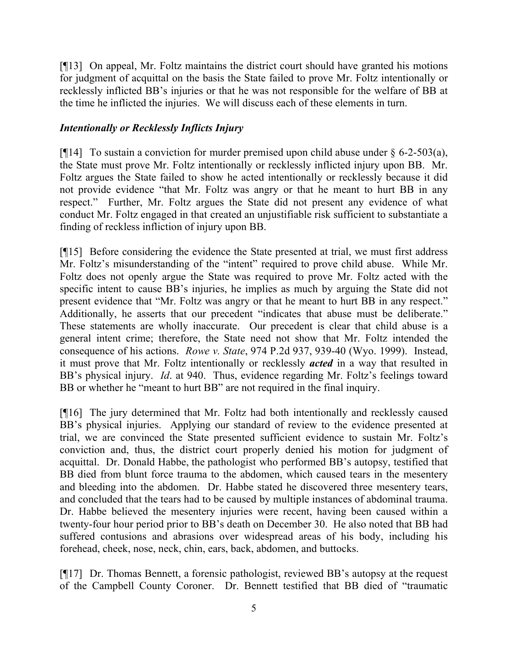[¶13] On appeal, Mr. Foltz maintains the district court should have granted his motions for judgment of acquittal on the basis the State failed to prove Mr. Foltz intentionally or recklessly inflicted BB's injuries or that he was not responsible for the welfare of BB at the time he inflicted the injuries. We will discuss each of these elements in turn.

## *Intentionally or Recklessly Inflicts Injury*

[ $[14]$ ] To sustain a conviction for murder premised upon child abuse under § 6-2-503(a), the State must prove Mr. Foltz intentionally or recklessly inflicted injury upon BB. Mr. Foltz argues the State failed to show he acted intentionally or recklessly because it did not provide evidence "that Mr. Foltz was angry or that he meant to hurt BB in any respect." Further, Mr. Foltz argues the State did not present any evidence of what conduct Mr. Foltz engaged in that created an unjustifiable risk sufficient to substantiate a finding of reckless infliction of injury upon BB.

[¶15] Before considering the evidence the State presented at trial, we must first address Mr. Foltz's misunderstanding of the "intent" required to prove child abuse. While Mr. Foltz does not openly argue the State was required to prove Mr. Foltz acted with the specific intent to cause BB's injuries, he implies as much by arguing the State did not present evidence that "Mr. Foltz was angry or that he meant to hurt BB in any respect." Additionally, he asserts that our precedent "indicates that abuse must be deliberate." These statements are wholly inaccurate. Our precedent is clear that child abuse is a general intent crime; therefore, the State need not show that Mr. Foltz intended the consequence of his actions. *Rowe v. State*, 974 P.2d 937, 939-40 (Wyo. 1999). Instead, it must prove that Mr. Foltz intentionally or recklessly *acted* in a way that resulted in BB's physical injury. *Id*. at 940. Thus, evidence regarding Mr. Foltz's feelings toward BB or whether he "meant to hurt BB" are not required in the final inquiry.

[¶16] The jury determined that Mr. Foltz had both intentionally and recklessly caused BB's physical injuries. Applying our standard of review to the evidence presented at trial, we are convinced the State presented sufficient evidence to sustain Mr. Foltz's conviction and, thus, the district court properly denied his motion for judgment of acquittal. Dr. Donald Habbe, the pathologist who performed BB's autopsy, testified that BB died from blunt force trauma to the abdomen, which caused tears in the mesentery and bleeding into the abdomen. Dr. Habbe stated he discovered three mesentery tears, and concluded that the tears had to be caused by multiple instances of abdominal trauma. Dr. Habbe believed the mesentery injuries were recent, having been caused within a twenty-four hour period prior to BB's death on December 30. He also noted that BB had suffered contusions and abrasions over widespread areas of his body, including his forehead, cheek, nose, neck, chin, ears, back, abdomen, and buttocks.

[¶17] Dr. Thomas Bennett, a forensic pathologist, reviewed BB's autopsy at the request of the Campbell County Coroner. Dr. Bennett testified that BB died of "traumatic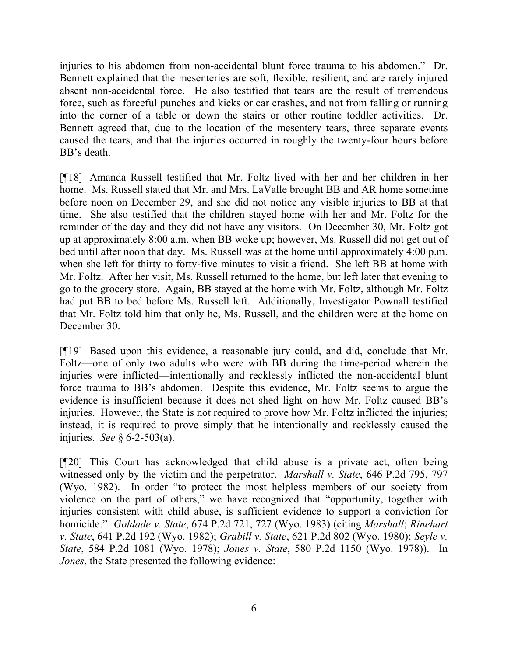injuries to his abdomen from non-accidental blunt force trauma to his abdomen." Dr. Bennett explained that the mesenteries are soft, flexible, resilient, and are rarely injured absent non-accidental force. He also testified that tears are the result of tremendous force, such as forceful punches and kicks or car crashes, and not from falling or running into the corner of a table or down the stairs or other routine toddler activities. Dr. Bennett agreed that, due to the location of the mesentery tears, three separate events caused the tears, and that the injuries occurred in roughly the twenty-four hours before BB's death.

[¶18] Amanda Russell testified that Mr. Foltz lived with her and her children in her home. Ms. Russell stated that Mr. and Mrs. LaValle brought BB and AR home sometime before noon on December 29, and she did not notice any visible injuries to BB at that time. She also testified that the children stayed home with her and Mr. Foltz for the reminder of the day and they did not have any visitors. On December 30, Mr. Foltz got up at approximately 8:00 a.m. when BB woke up; however, Ms. Russell did not get out of bed until after noon that day. Ms. Russell was at the home until approximately 4:00 p.m. when she left for thirty to forty-five minutes to visit a friend. She left BB at home with Mr. Foltz. After her visit, Ms. Russell returned to the home, but left later that evening to go to the grocery store. Again, BB stayed at the home with Mr. Foltz, although Mr. Foltz had put BB to bed before Ms. Russell left. Additionally, Investigator Pownall testified that Mr. Foltz told him that only he, Ms. Russell, and the children were at the home on December 30.

[¶19] Based upon this evidence, a reasonable jury could, and did, conclude that Mr. Foltz—one of only two adults who were with BB during the time-period wherein the injuries were inflicted—intentionally and recklessly inflicted the non-accidental blunt force trauma to BB's abdomen. Despite this evidence, Mr. Foltz seems to argue the evidence is insufficient because it does not shed light on how Mr. Foltz caused BB's injuries. However, the State is not required to prove how Mr. Foltz inflicted the injuries; instead, it is required to prove simply that he intentionally and recklessly caused the injuries. *See* § 6-2-503(a).

[¶20] This Court has acknowledged that child abuse is a private act, often being witnessed only by the victim and the perpetrator. *Marshall v. State*, 646 P.2d 795, 797 (Wyo. 1982). In order "to protect the most helpless members of our society from violence on the part of others," we have recognized that "opportunity, together with injuries consistent with child abuse, is sufficient evidence to support a conviction for homicide." *Goldade v. State*, 674 P.2d 721, 727 (Wyo. 1983) (citing *Marshall*; *Rinehart v. State*, 641 P.2d 192 (Wyo. 1982); *Grabill v. State*, 621 P.2d 802 (Wyo. 1980); *Seyle v. State*, 584 P.2d 1081 (Wyo. 1978); *Jones v. State*, 580 P.2d 1150 (Wyo. 1978)). In *Jones*, the State presented the following evidence: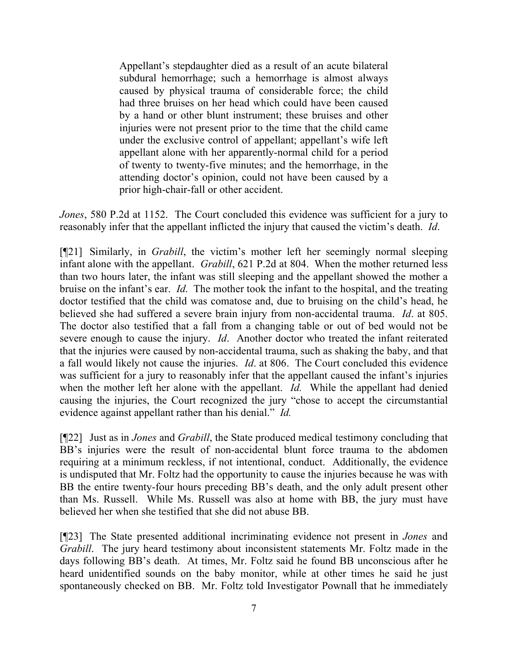Appellant's stepdaughter died as a result of an acute bilateral subdural hemorrhage; such a hemorrhage is almost always caused by physical trauma of considerable force; the child had three bruises on her head which could have been caused by a hand or other blunt instrument; these bruises and other injuries were not present prior to the time that the child came under the exclusive control of appellant; appellant's wife left appellant alone with her apparently-normal child for a period of twenty to twenty-five minutes; and the hemorrhage, in the attending doctor's opinion, could not have been caused by a prior high-chair-fall or other accident.

*Jones*, 580 P.2d at 1152. The Court concluded this evidence was sufficient for a jury to reasonably infer that the appellant inflicted the injury that caused the victim's death. *Id*.

[¶21] Similarly, in *Grabill*, the victim's mother left her seemingly normal sleeping infant alone with the appellant. *Grabill*, 621 P.2d at 804. When the mother returned less than two hours later, the infant was still sleeping and the appellant showed the mother a bruise on the infant's ear. *Id*. The mother took the infant to the hospital, and the treating doctor testified that the child was comatose and, due to bruising on the child's head, he believed she had suffered a severe brain injury from non-accidental trauma. *Id*. at 805. The doctor also testified that a fall from a changing table or out of bed would not be severe enough to cause the injury. *Id*. Another doctor who treated the infant reiterated that the injuries were caused by non-accidental trauma, such as shaking the baby, and that a fall would likely not cause the injuries. *Id*. at 806. The Court concluded this evidence was sufficient for a jury to reasonably infer that the appellant caused the infant's injuries when the mother left her alone with the appellant. *Id.* While the appellant had denied causing the injuries, the Court recognized the jury "chose to accept the circumstantial evidence against appellant rather than his denial." *Id.*

[¶22] Just as in *Jones* and *Grabill*, the State produced medical testimony concluding that BB's injuries were the result of non-accidental blunt force trauma to the abdomen requiring at a minimum reckless, if not intentional, conduct. Additionally, the evidence is undisputed that Mr. Foltz had the opportunity to cause the injuries because he was with BB the entire twenty-four hours preceding BB's death, and the only adult present other than Ms. Russell. While Ms. Russell was also at home with BB, the jury must have believed her when she testified that she did not abuse BB.

[¶23] The State presented additional incriminating evidence not present in *Jones* and *Grabill*. The jury heard testimony about inconsistent statements Mr. Foltz made in the days following BB's death. At times, Mr. Foltz said he found BB unconscious after he heard unidentified sounds on the baby monitor, while at other times he said he just spontaneously checked on BB. Mr. Foltz told Investigator Pownall that he immediately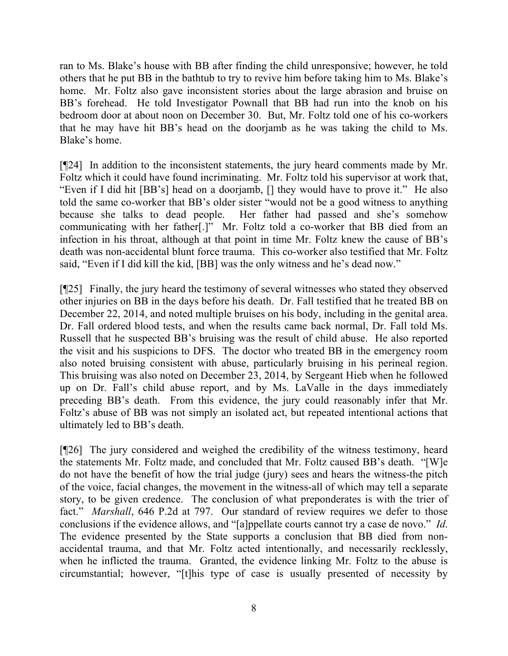ran to Ms. Blake's house with BB after finding the child unresponsive; however, he told others that he put BB in the bathtub to try to revive him before taking him to Ms. Blake's home. Mr. Foltz also gave inconsistent stories about the large abrasion and bruise on BB's forehead. He told Investigator Pownall that BB had run into the knob on his bedroom door at about noon on December 30. But, Mr. Foltz told one of his co-workers that he may have hit BB's head on the doorjamb as he was taking the child to Ms. Blake's home.

[¶24] In addition to the inconsistent statements, the jury heard comments made by Mr. Foltz which it could have found incriminating. Mr. Foltz told his supervisor at work that, "Even if I did hit [BB's] head on a doorjamb, [] they would have to prove it." He also told the same co-worker that BB's older sister "would not be a good witness to anything because she talks to dead people. Her father had passed and she's somehow communicating with her father[.]" Mr. Foltz told a co-worker that BB died from an infection in his throat, although at that point in time Mr. Foltz knew the cause of BB's death was non-accidental blunt force trauma. This co-worker also testified that Mr. Foltz said, "Even if I did kill the kid, [BB] was the only witness and he's dead now."

[¶25] Finally, the jury heard the testimony of several witnesses who stated they observed other injuries on BB in the days before his death. Dr. Fall testified that he treated BB on December 22, 2014, and noted multiple bruises on his body, including in the genital area. Dr. Fall ordered blood tests, and when the results came back normal, Dr. Fall told Ms. Russell that he suspected BB's bruising was the result of child abuse. He also reported the visit and his suspicions to DFS. The doctor who treated BB in the emergency room also noted bruising consistent with abuse, particularly bruising in his perineal region. This bruising was also noted on December 23, 2014, by Sergeant Hieb when he followed up on Dr. Fall's child abuse report, and by Ms. LaValle in the days immediately preceding BB's death. From this evidence, the jury could reasonably infer that Mr. Foltz's abuse of BB was not simply an isolated act, but repeated intentional actions that ultimately led to BB's death.

[¶26] The jury considered and weighed the credibility of the witness testimony, heard the statements Mr. Foltz made, and concluded that Mr. Foltz caused BB's death. "[W]e do not have the benefit of how the trial judge (jury) sees and hears the witness-the pitch of the voice, facial changes, the movement in the witness-all of which may tell a separate story, to be given credence. The conclusion of what preponderates is with the trier of fact." *Marshall*, 646 P.2d at 797. Our standard of review requires we defer to those conclusions if the evidence allows, and "[a]ppellate courts cannot try a case de novo." *Id*. The evidence presented by the State supports a conclusion that BB died from nonaccidental trauma, and that Mr. Foltz acted intentionally, and necessarily recklessly, when he inflicted the trauma. Granted, the evidence linking Mr. Foltz to the abuse is circumstantial; however, "[t]his type of case is usually presented of necessity by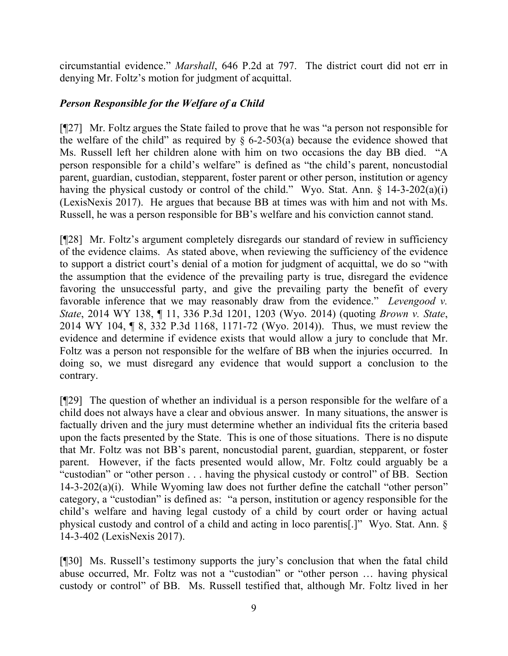circumstantial evidence." *Marshall*, 646 P.2d at 797. The district court did not err in denying Mr. Foltz's motion for judgment of acquittal.

# *Person Responsible for the Welfare of a Child*

[¶27] Mr. Foltz argues the State failed to prove that he was "a person not responsible for the welfare of the child" as required by  $\S$  6-2-503(a) because the evidence showed that Ms. Russell left her children alone with him on two occasions the day BB died. "A person responsible for a child's welfare" is defined as "the child's parent, noncustodial parent, guardian, custodian, stepparent, foster parent or other person, institution or agency having the physical custody or control of the child." Wyo. Stat. Ann.  $\S$  14-3-202(a)(i) (LexisNexis 2017). He argues that because BB at times was with him and not with Ms. Russell, he was a person responsible for BB's welfare and his conviction cannot stand.

[¶28] Mr. Foltz's argument completely disregards our standard of review in sufficiency of the evidence claims. As stated above, when reviewing the sufficiency of the evidence to support a district court's denial of a motion for judgment of acquittal, we do so "with the assumption that the evidence of the prevailing party is true, disregard the evidence favoring the unsuccessful party, and give the prevailing party the benefit of every favorable inference that we may reasonably draw from the evidence." *Levengood v. State*, 2014 WY 138, ¶ 11, 336 P.3d 1201, 1203 (Wyo. 2014) (quoting *Brown v. State*, 2014 WY 104, ¶ 8, 332 P.3d 1168, 1171-72 (Wyo. 2014)). Thus, we must review the evidence and determine if evidence exists that would allow a jury to conclude that Mr. Foltz was a person not responsible for the welfare of BB when the injuries occurred. In doing so, we must disregard any evidence that would support a conclusion to the contrary.

[¶29] The question of whether an individual is a person responsible for the welfare of a child does not always have a clear and obvious answer. In many situations, the answer is factually driven and the jury must determine whether an individual fits the criteria based upon the facts presented by the State. This is one of those situations. There is no dispute that Mr. Foltz was not BB's parent, noncustodial parent, guardian, stepparent, or foster parent. However, if the facts presented would allow, Mr. Foltz could arguably be a "custodian" or "other person . . . having the physical custody or control" of BB. Section 14-3-202(a)(i). While Wyoming law does not further define the catchall "other person" category, a "custodian" is defined as: "a person, institution or agency responsible for the child's welfare and having legal custody of a child by court order or having actual physical custody and control of a child and acting in loco parentis[.]" Wyo. Stat. Ann. § 14-3-402 (LexisNexis 2017).

[¶30] Ms. Russell's testimony supports the jury's conclusion that when the fatal child abuse occurred, Mr. Foltz was not a "custodian" or "other person … having physical custody or control" of BB. Ms. Russell testified that, although Mr. Foltz lived in her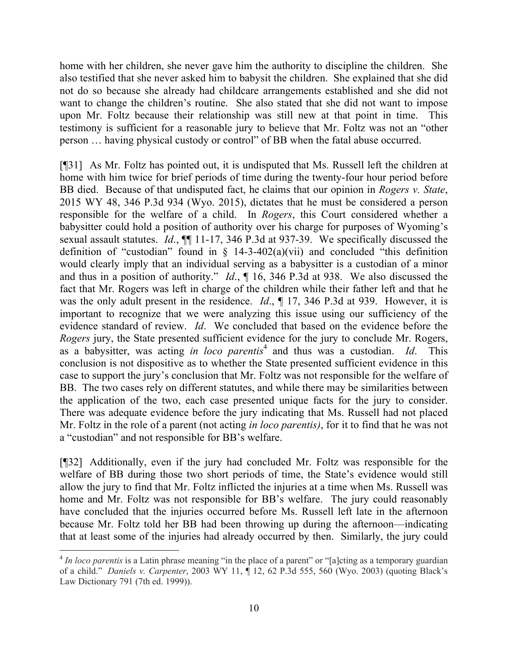home with her children, she never gave him the authority to discipline the children. She also testified that she never asked him to babysit the children. She explained that she did not do so because she already had childcare arrangements established and she did not want to change the children's routine. She also stated that she did not want to impose upon Mr. Foltz because their relationship was still new at that point in time. This testimony is sufficient for a reasonable jury to believe that Mr. Foltz was not an "other person … having physical custody or control" of BB when the fatal abuse occurred.

[¶31] As Mr. Foltz has pointed out, it is undisputed that Ms. Russell left the children at home with him twice for brief periods of time during the twenty-four hour period before BB died. Because of that undisputed fact, he claims that our opinion in *Rogers v. State*, 2015 WY 48, 346 P.3d 934 (Wyo. 2015), dictates that he must be considered a person responsible for the welfare of a child. In *Rogers*, this Court considered whether a babysitter could hold a position of authority over his charge for purposes of Wyoming's sexual assault statutes. *Id*., ¶¶ 11-17, 346 P.3d at 937-39. We specifically discussed the definition of "custodian" found in  $\S$  14-3-402(a)(vii) and concluded "this definition would clearly imply that an individual serving as a babysitter is a custodian of a minor and thus in a position of authority." *Id*., ¶ 16, 346 P.3d at 938. We also discussed the fact that Mr. Rogers was left in charge of the children while their father left and that he was the only adult present in the residence. *Id*., ¶ 17, 346 P.3d at 939. However, it is important to recognize that we were analyzing this issue using our sufficiency of the evidence standard of review. *Id*. We concluded that based on the evidence before the *Rogers* jury, the State presented sufficient evidence for the jury to conclude Mr. Rogers, as a babysitter, was acting *in loco parentis*<sup>4</sup> and thus was a custodian. *Id*. This conclusion is not dispositive as to whether the State presented sufficient evidence in this case to support the jury's conclusion that Mr. Foltz was not responsible for the welfare of BB. The two cases rely on different statutes, and while there may be similarities between the application of the two, each case presented unique facts for the jury to consider. There was adequate evidence before the jury indicating that Ms. Russell had not placed Mr. Foltz in the role of a parent (not acting *in loco parentis)*, for it to find that he was not a "custodian" and not responsible for BB's welfare.

[¶32] Additionally, even if the jury had concluded Mr. Foltz was responsible for the welfare of BB during those two short periods of time, the State's evidence would still allow the jury to find that Mr. Foltz inflicted the injuries at a time when Ms. Russell was home and Mr. Foltz was not responsible for BB's welfare. The jury could reasonably have concluded that the injuries occurred before Ms. Russell left late in the afternoon because Mr. Foltz told her BB had been throwing up during the afternoon—indicating that at least some of the injuries had already occurred by then. Similarly, the jury could

l

<sup>&</sup>lt;sup>4</sup> In loco parentis is a Latin phrase meaning "in the place of a parent" or "[a]cting as a temporary guardian of a child." *Daniels v. Carpenter*, 2003 WY 11, ¶ 12, 62 P.3d 555, 560 (Wyo. 2003) (quoting Black's Law Dictionary 791 (7th ed. 1999)).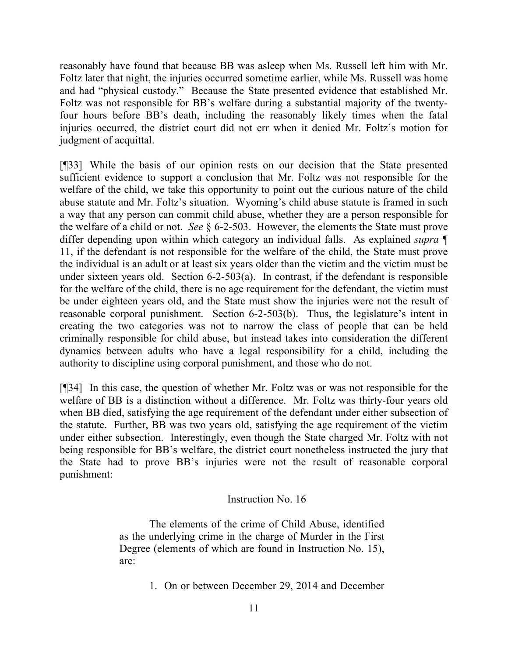reasonably have found that because BB was asleep when Ms. Russell left him with Mr. Foltz later that night, the injuries occurred sometime earlier, while Ms. Russell was home and had "physical custody." Because the State presented evidence that established Mr. Foltz was not responsible for BB's welfare during a substantial majority of the twentyfour hours before BB's death, including the reasonably likely times when the fatal injuries occurred, the district court did not err when it denied Mr. Foltz's motion for judgment of acquittal.

[¶33] While the basis of our opinion rests on our decision that the State presented sufficient evidence to support a conclusion that Mr. Foltz was not responsible for the welfare of the child, we take this opportunity to point out the curious nature of the child abuse statute and Mr. Foltz's situation. Wyoming's child abuse statute is framed in such a way that any person can commit child abuse, whether they are a person responsible for the welfare of a child or not. *See* § 6-2-503. However, the elements the State must prove differ depending upon within which category an individual falls. As explained *supra* ¶ 11, if the defendant is not responsible for the welfare of the child, the State must prove the individual is an adult or at least six years older than the victim and the victim must be under sixteen years old. Section 6-2-503(a). In contrast, if the defendant is responsible for the welfare of the child, there is no age requirement for the defendant, the victim must be under eighteen years old, and the State must show the injuries were not the result of reasonable corporal punishment. Section 6-2-503(b). Thus, the legislature's intent in creating the two categories was not to narrow the class of people that can be held criminally responsible for child abuse, but instead takes into consideration the different dynamics between adults who have a legal responsibility for a child, including the authority to discipline using corporal punishment, and those who do not.

[¶34] In this case, the question of whether Mr. Foltz was or was not responsible for the welfare of BB is a distinction without a difference. Mr. Foltz was thirty-four years old when BB died, satisfying the age requirement of the defendant under either subsection of the statute. Further, BB was two years old, satisfying the age requirement of the victim under either subsection. Interestingly, even though the State charged Mr. Foltz with not being responsible for BB's welfare, the district court nonetheless instructed the jury that the State had to prove BB's injuries were not the result of reasonable corporal punishment:

#### Instruction No. 16

The elements of the crime of Child Abuse, identified as the underlying crime in the charge of Murder in the First Degree (elements of which are found in Instruction No. 15), are:

1. On or between December 29, 2014 and December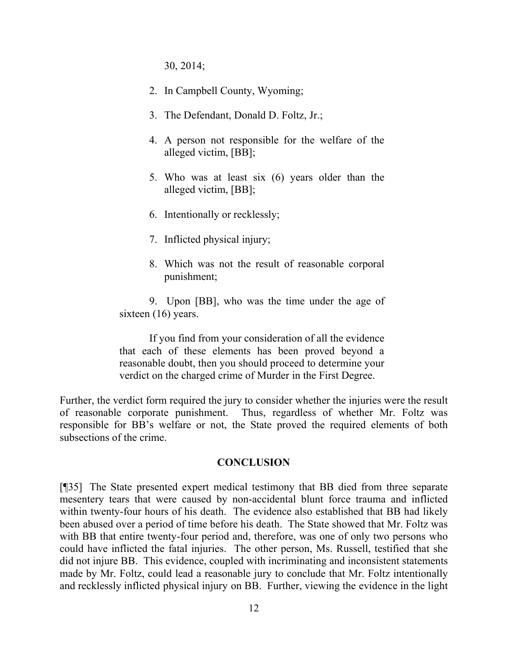30, 2014;

- 2. In Campbell County, Wyoming;
- 3. The Defendant, Donald D. Foltz, Jr.;
- 4. A person not responsible for the welfare of the alleged victim, [BB];
- 5. Who was at least six (6) years older than the alleged victim, [BB];
- 6. Intentionally or recklessly;
- 7. Inflicted physical injury;
- 8. Which was not the result of reasonable corporal punishment;

9. Upon [BB], who was the time under the age of sixteen (16) years.

If you find from your consideration of all the evidence that each of these elements has been proved beyond a reasonable doubt, then you should proceed to determine your verdict on the charged crime of Murder in the First Degree.

Further, the verdict form required the jury to consider whether the injuries were the result of reasonable corporate punishment. Thus, regardless of whether Mr. Foltz was responsible for BB's welfare or not, the State proved the required elements of both subsections of the crime.

#### **CONCLUSION**

[¶35] The State presented expert medical testimony that BB died from three separate mesentery tears that were caused by non-accidental blunt force trauma and inflicted within twenty-four hours of his death. The evidence also established that BB had likely been abused over a period of time before his death. The State showed that Mr. Foltz was with BB that entire twenty-four period and, therefore, was one of only two persons who could have inflicted the fatal injuries. The other person, Ms. Russell, testified that she did not injure BB. This evidence, coupled with incriminating and inconsistent statements made by Mr. Foltz, could lead a reasonable jury to conclude that Mr. Foltz intentionally and recklessly inflicted physical injury on BB. Further, viewing the evidence in the light